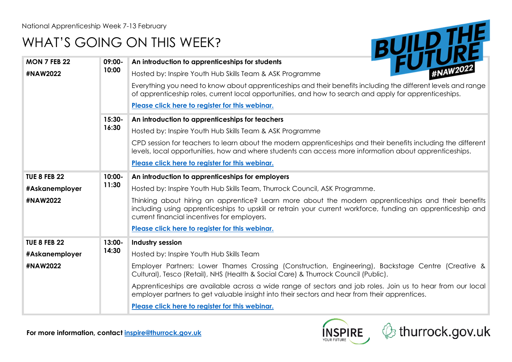**MON 7 FEB 22** 

## WHAT'S GOING ON THIS WEEK?



| <b>MON 7 FEB 22</b> | 09:00-            | An introduction to apprenticeships for students                                                                                                                                                                                                                   |
|---------------------|-------------------|-------------------------------------------------------------------------------------------------------------------------------------------------------------------------------------------------------------------------------------------------------------------|
| #NAW2022            | 10:00             | Hosted by: Inspire Youth Hub Skills Team & ASK Programme                                                                                                                                                                                                          |
|                     |                   | Everything you need to know about apprenticeships and their benefits including the different levels and range<br>of apprenticeship roles, current local opportunities, and how to search and apply for apprenticeships.                                           |
|                     |                   | Please click here to register for this webinar.                                                                                                                                                                                                                   |
|                     | $15:30-$<br>16:30 | An introduction to apprenticeships for teachers                                                                                                                                                                                                                   |
|                     |                   | Hosted by: Inspire Youth Hub Skills Team & ASK Programme                                                                                                                                                                                                          |
|                     |                   | CPD session for teachers to learn about the modern apprenticeships and their benefits including the different<br>levels, local opportunities, how and where students can access more information about apprenticeships.                                           |
|                     |                   | Please click here to register for this webinar.                                                                                                                                                                                                                   |
| <b>TUE 8 FEB 22</b> | 10:00-<br>11:30   | An introduction to apprenticeships for employers                                                                                                                                                                                                                  |
| #Askanemployer      |                   | Hosted by: Inspire Youth Hub Skills Team, Thurrock Council, ASK Programme.                                                                                                                                                                                        |
| #NAW2022            |                   | Thinking about hiring an apprentice? Learn more about the modern apprenticeships and their benefits<br>including using apprenticeships to upskill or retrain your current workforce, funding an apprenticeship and<br>current financial incentives for employers. |
|                     |                   | Please click here to register for this webinar.                                                                                                                                                                                                                   |
| <b>TUE 8 FEB 22</b> | 13:00-<br>14:30   | Industry session                                                                                                                                                                                                                                                  |
| #Askanemployer      |                   | Hosted by: Inspire Youth Hub Skills Team                                                                                                                                                                                                                          |
| #NAW2022            |                   | Employer Partners: Lower Thames Crossing (Construction, Engineering), Backstage Centre (Creative &<br>Cultural), Tesco (Retail), NHS (Health & Social Care) & Thurrock Council (Public).                                                                          |
|                     |                   | Apprenticeships are available across a wide range of sectors and job roles. Join us to hear from our local<br>employer partners to get valuable insight into their sectors and hear from their apprentices.                                                       |
|                     |                   | Please click here to register for this webinar.                                                                                                                                                                                                                   |